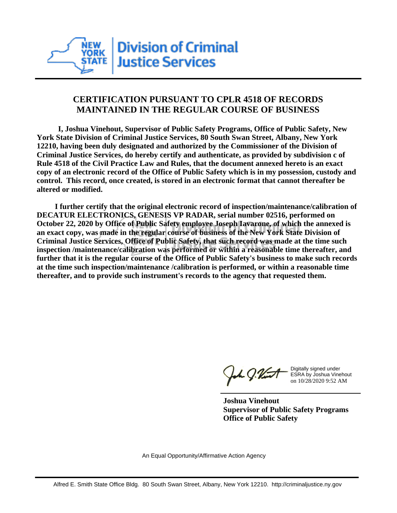

## **CERTIFICATION PURSUANT TO CPLR 4518 OF RECORDS MAINTAINED IN THE REGULAR COURSE OF BUSINESS**

 **I, Joshua Vinehout, Supervisor of Public Safety Programs, Office of Public Safety, New York State Division of Criminal Justice Services, 80 South Swan Street, Albany, New York 12210, having been duly designated and authorized by the Commissioner of the Division of Criminal Justice Services, do hereby certify and authenticate, as provided by subdivision c of Rule 4518 of the Civil Practice Law and Rules, that the document annexed hereto is an exact copy of an electronic record of the Office of Public Safety which is in my possession, custody and control. This record, once created, is stored in an electronic format that cannot thereafter be altered or modified.**

 **I further certify that the original electronic record of inspection/maintenance/calibration of DECATUR ELECTRONICS, GENESIS VP RADAR, serial number 02516, performed on October 22, 2020 by Office of Public Safety employee Joseph Iavarone, of which the annexed is an exact copy, was made in the regular course of business of the New York State Division of Criminal Justice Services, Office of Public Safety, that such record was made at the time such inspection /maintenance/calibration was performed or within a reasonable time thereafter, and further that it is the regular course of the Office of Public Safety's business to make such records at the time such inspection/maintenance /calibration is performed, or within a reasonable time thereafter, and to provide such instrument's records to the agency that requested them.**

h J.Vint

Digitally signed under ESRA by Joshua Vinehout on 10/28/2020 9:52 AM

**Joshua Vinehout Supervisor of Public Safety Programs Office of Public Safety**

An Equal Opportunity/Affirmative Action Agency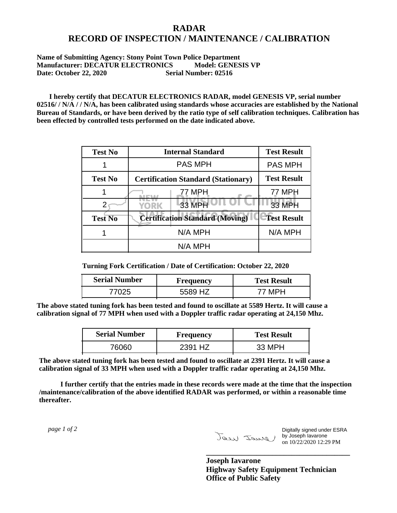## **RADAR RECORD OF INSPECTION / MAINTENANCE / CALIBRATION**

## **Name of Submitting Agency: Stony Point Town Police Department Manufacturer: DECATUR ELECTRONICS Model: GENESIS VP Date: October 22, 2020 Serial Number: 02516**

 **I hereby certify that DECATUR ELECTRONICS RADAR, model GENESIS VP, serial number 02516/ / N/A / / N/A, has been calibrated using standards whose accuracies are established by the National Bureau of Standards, or have been derived by the ratio type of self calibration techniques. Calibration has been effected by controlled tests performed on the date indicated above.**

| <b>Test No</b> | <b>Internal Standard</b>                   | <b>Test Result</b> |
|----------------|--------------------------------------------|--------------------|
|                | <b>PAS MPH</b>                             | <b>PAS MPH</b>     |
| <b>Test No</b> | <b>Certification Standard (Stationary)</b> | <b>Test Result</b> |
|                | 77 MPH                                     | 77 MPH             |
|                | 33 MPH<br><b>YORK</b>                      | <b>33 MPH</b>      |
| <b>Test No</b> | <b>Certification Standard (Moving)</b>     | <b>Test Result</b> |
|                | N/A MPH                                    | N/A MPH            |
|                | N/A MPH                                    |                    |

**Turning Fork Certification / Date of Certification: October 22, 2020**

| <b>Serial Number</b> | <b>Frequency</b> | <b>Test Result</b> |
|----------------------|------------------|--------------------|
| フハクト                 | , H7<br>5589     |                    |

**The above stated tuning fork has been tested and found to oscillate at 5589 Hertz. It will cause a calibration signal of 77 MPH when used with a Doppler traffic radar operating at 24,150 Mhz.**

| <b>Serial Number</b> | <b>Frequency</b> | <b>Test Result</b> |
|----------------------|------------------|--------------------|
| 76060-               | 2391 HZ          | 33 MPH             |

**The above stated tuning fork has been tested and found to oscillate at 2391 Hertz. It will cause a calibration signal of 33 MPH when used with a Doppler traffic radar operating at 24,150 Mhz.**

 **I further certify that the entries made in these records were made at the time that the inspection /maintenance/calibration of the above identified RADAR was performed, or within a reasonable time thereafter.**

 *page 1 of 2* 

Digitally signed under ESRA by Joseph Iavarone on 10/22/2020 12:29 PM

**Joseph Iavarone Highway Safety Equipment Technician Office of Public Safety**

**\_\_\_\_\_\_\_\_\_\_\_\_\_\_\_\_\_\_\_\_\_\_\_\_\_\_\_\_\_\_\_\_\_\_\_\_\_**